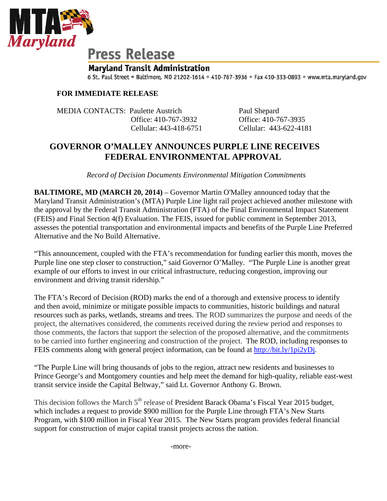

## **Press Release**

## **Maryland Transit Administration**

6 St. Paul Street . Baltimore, MD 21202-1614 . 410-767-3936 . Fax 410-333-0893 . www.mta.maryland.gov

## **FOR IMMEDIATE RELEASE**

MEDIA CONTACTS: Paulette Austrich Paul Shepard

 Office: 410-767-3932 Office: 410-767-3935 Cellular: 443-418-6751 Cellular: 443-622-4181

## **GOVERNOR O'MALLEY ANNOUNCES PURPLE LINE RECEIVES FEDERAL ENVIRONMENTAL APPROVAL**

 *Record of Decision Documents Environmental Mitigation Commitments* 

**BALTIMORE, MD (MARCH 20, 2014)** – Governor Martin O'Malley announced today that the Maryland Transit Administration's (MTA) Purple Line light rail project achieved another milestone with the approval by the Federal Transit Administration (FTA) of the Final Environmental Impact Statement (FEIS) and Final Section 4(f) Evaluation. The FEIS, issued for public comment in September 2013, assesses the potential transportation and environmental impacts and benefits of the Purple Line Preferred Alternative and the No Build Alternative.

"This announcement, coupled with the FTA's recommendation for funding earlier this month, moves the Purple line one step closer to construction," said Governor O'Malley. "The Purple Line is another great example of our efforts to invest in our critical infrastructure, reducing congestion, improving our environment and driving transit ridership."

The FTA's Record of Decision (ROD) marks the end of a thorough and extensive process to identify and then avoid, minimize or mitigate possible impacts to communities, historic buildings and natural resources such as parks, wetlands, streams and trees. The ROD summarizes the purpose and needs of the project, the alternatives considered, the comments received during the review period and responses to those comments, the factors that support the selection of the proposed alternative, and the commitments to be carried into further engineering and construction of the project. The ROD, including responses to FEIS comments along with general project information, can be found at <http://bit.ly/1pi2yDj>.

"The Purple Line will bring thousands of jobs to the region, attract new residents and businesses to Prince George's and Montgomery counties and help meet the demand for high-quality, reliable east-west transit service inside the Capital Beltway," said Lt. Governor Anthony G. Brown.

This decision follows the March 5<sup>th</sup> release of President Barack Obama's Fiscal Year 2015 budget, which includes a request to provide \$900 million for the Purple Line through FTA's New Starts Program, with \$100 million in Fiscal Year 2015. The New Starts program provides federal financial support for construction of major capital transit projects across the nation.